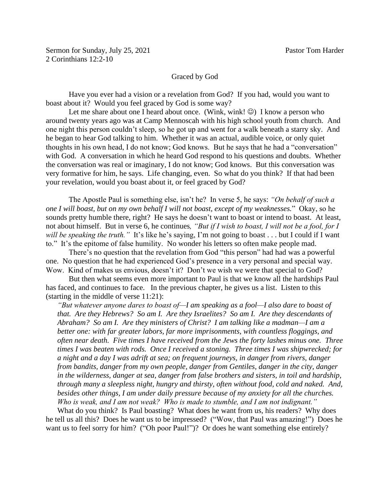## Graced by God

Have you ever had a vision or a revelation from God? If you had, would you want to boast about it? Would you feel graced by God is some way?

Let me share about one I heard about once. (Wink, wink!  $\odot$ ) I know a person who around twenty years ago was at Camp Mennoscah with his high school youth from church. And one night this person couldn't sleep, so he got up and went for a walk beneath a starry sky. And he began to hear God talking to him. Whether it was an actual, audible voice, or only quiet thoughts in his own head, I do not know; God knows. But he says that he had a "conversation" with God. A conversation in which he heard God respond to his questions and doubts. Whether the conversation was real or imaginary, I do not know; God knows. But this conversation was very formative for him, he says. Life changing, even. So what do you think? If that had been your revelation, would you boast about it, or feel graced by God?

The Apostle Paul is something else, isn't he? In verse 5, he says: *"On behalf of such a one I will boast, but on my own behalf I will not boast, except of my weaknesses.*" Okay, so he sounds pretty humble there, right? He says he doesn't want to boast or intend to boast. At least, not about himself. But in verse 6, he continues*, "But if I wish to boast, I will not be a fool, for I will be speaking the truth.*" It's like he's saying, I'm not going to boast . . . but I could if I want to." It's the epitome of false humility. No wonder his letters so often make people mad.

There's no question that the revelation from God "this person" had had was a powerful one. No question that he had experienced God's presence in a very personal and special way. Wow. Kind of makes us envious, doesn't it? Don't we wish we were that special to God?

But then what seems even more important to Paul is that we know all the hardships Paul has faced, and continues to face. In the previous chapter, he gives us a list. Listen to this (starting in the middle of verse 11:21):

*"But whatever anyone dares to boast of—I am speaking as a fool—I also dare to boast of that. Are they Hebrews? So am I. Are they Israelites? So am I. Are they descendants of Abraham? So am I. Are they ministers of Christ? I am talking like a madman—I am a better one: with far greater labors, far more imprisonments, with countless floggings, and often near death. Five times I have received from the Jews the forty lashes minus one. Three times I was beaten with rods. Once I received a stoning. Three times I was shipwrecked; for a night and a day I was adrift at sea; on frequent journeys, in danger from rivers, danger from bandits, danger from my own people, danger from Gentiles, danger in the city, danger in the wilderness, danger at sea, danger from false brothers and sisters, in toil and hardship, through many a sleepless night, hungry and thirsty, often without food, cold and naked. And, besides other things, I am under daily pressure because of my anxiety for all the churches. Who is weak, and I am not weak? Who is made to stumble, and I am not indignant."*

What do you think? Is Paul boasting? What does he want from us, his readers? Why does he tell us all this? Does he want us to be impressed? ("Wow, that Paul was amazing!") Does he want us to feel sorry for him? ("Oh poor Paul!")? Or does he want something else entirely?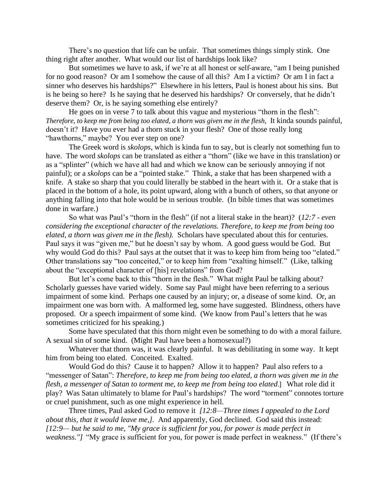There's no question that life can be unfair. That sometimes things simply stink. One thing right after another. What would our list of hardships look like?

But sometimes we have to ask, if we're at all honest or self-aware, "am I being punished for no good reason? Or am I somehow the cause of all this? Am I a victim? Or am I in fact a sinner who deserves his hardships?" Elsewhere in his letters, Paul is honest about his sins. But is he being so here? Is he saying that he deserved his hardships? Or conversely, that he didn't deserve them? Or, is he saying something else entirely?

He goes on in verse 7 to talk about this vague and mysterious "thorn in the flesh": *Therefore, to keep me from being too elated, a thorn was given me in the flesh,* It kinda sounds painful, doesn't it? Have you ever had a thorn stuck in your flesh? One of those really long "hawthorns," maybe? You ever step on one?

The Greek word is *skolops*, which is kinda fun to say, but is clearly not something fun to have. The word *skolops* can be translated as either a "thorn" (like we have in this translation) or as a "splinter" (which we have all had and which we know can be seriously annoying if not painful); or a *skolops* can be a "pointed stake." Think, a stake that has been sharpened with a knife. A stake so sharp that you could literally be stabbed in the heart with it. Or a stake that is placed in the bottom of a hole, its point upward, along with a bunch of others, so that anyone or anything falling into that hole would be in serious trouble. (In bible times that was sometimes done in warfare.)

So what was Paul's "thorn in the flesh" (if not a literal stake in the heart)? (*12:7 - even considering the exceptional character of the revelations. Therefore, to keep me from being too elated, a thorn was given me in the flesh).* Scholars have speculated about this for centuries. Paul says it was "given me," but he doesn't say by whom. A good guess would be God. But why would God do this? Paul says at the outset that it was to keep him from being too "elated." Other translations say "too conceited," or to keep him from "exalting himself." (Like, talking about the "exceptional character of [his] revelations" from God?

But let's come back to this "thorn in the flesh." What might Paul be talking about? Scholarly guesses have varied widely. Some say Paul might have been referring to a serious impairment of some kind. Perhaps one caused by an injury; or, a disease of some kind. Or, an impairment one was born with. A malformed leg, some have suggested. Blindness, others have proposed. Or a speech impairment of some kind. (We know from Paul's letters that he was sometimes criticized for his speaking.)

Some have speculated that this thorn might even be something to do with a moral failure. A sexual sin of some kind. (Might Paul have been a homosexual?)

Whatever that thorn was, it was clearly painful. It was debilitating in some way. It kept him from being too elated. Conceited. Exalted.

Would God do this? Cause it to happen? Allow it to happen? Paul also refers to a "messenger of Satan": *Therefore, to keep me from being too elated, a thorn was given me in the flesh, a messenger of Satan to torment me, to keep me from being too elated*.] What role did it play? Was Satan ultimately to blame for Paul's hardships? The word "torment" connotes torture or cruel punishment, such as one might experience in hell.

Three times, Paul asked God to remove it *[12:8—Three times I appealed to the Lord about this, that it would leave me,].* And apparently, God declined. God said this instead: *[12:9— but he said to me, "My grace is sufficient for you, for power is made perfect in weakness."]* "My grace is sufficient for you, for power is made perfect in weakness." (If there's